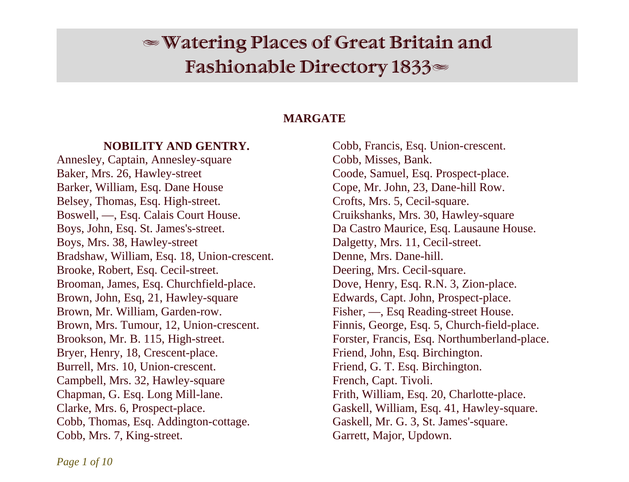# $\mathcal \infty$  Watering Places of Great Britain and Fashionable Directory  $1833$

# **MARGATE**

## **NOBILITY AND GENTRY.**

Annesley, Captain, Annesley-square Baker, Mrs. 26, Hawley-street Barker, William, Esq. Dane House Belsey, Thomas, Esq. High-street. Boswell, —, Esq. Calais Court House. Boys, John, Esq. St. James's-street. Boys, Mrs. 38, Hawley-street Bradshaw, William, Esq. 18, Union-crescent. Brooke, Robert, Esq. Cecil-street. Brooman, James, Esq. Churchfield-place. Brown, John, Esq, 21, Hawley-square Brown, Mr. William, Garden-row. Brown, Mrs. Tumour, 12, Union-crescent. Brookson, Mr. B. 115, High-street. Bryer, Henry, 18, Crescent-place. Burrell, Mrs. 10, Union-crescent. Campbell, Mrs. 32, Hawley-square Chapman, G. Esq. Long Mill-lane. Clarke, Mrs. 6, Prospect-place. Cobb, Thomas, Esq. Addington-cottage. Cobb, Mrs. 7, King-street.

Cobb, Francis, Esq. Union-crescent. Cobb, Misses, Bank. Coode, Samuel, Esq. Prospect-place. Cope, Mr. John, 23, Dane-hill Row. Crofts, Mrs. 5, Cecil-square. Cruikshanks, Mrs. 30, Hawley-square Da Castro Maurice, Esq. Lausaune House. Dalgetty, Mrs. 11, Cecil-street. Denne, Mrs. Dane-hill. Deering, Mrs. Cecil-square. Dove, Henry, Esq. R.N. 3, Zion-place. Edwards, Capt. John, Prospect-place. Fisher, —, Esq Reading-street House. Finnis, George, Esq. 5, Church-field-place. Forster, Francis, Esq. Northumberland-place. Friend, John, Esq. Birchington. Friend, G. T. Esq. Birchington. French, Capt. Tivoli. Frith, William, Esq. 20, Charlotte-place. Gaskell, William, Esq. 41, Hawley-square. Gaskell, Mr. G. 3, St. James'-square. Garrett, Major, Updown.

*Page 1 of 10*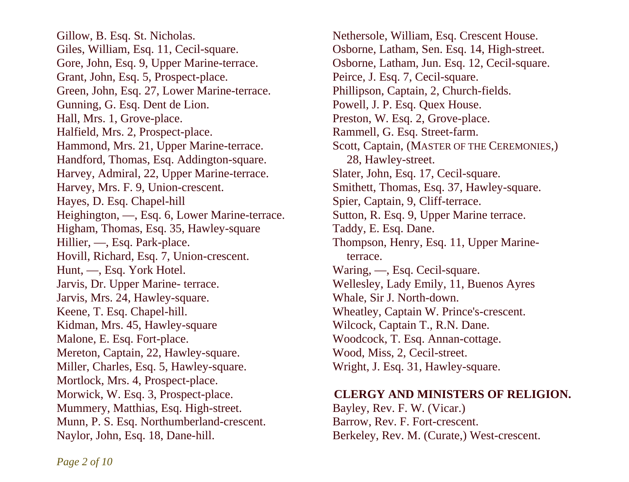Gillow, B. Esq. St. Nicholas. Giles, William, Esq. 11, Cecil-square. Gore, John, Esq. 9, Upper Marine-terrace. Grant, John, Esq. 5, Prospect-place. Green, John, Esq. 27, Lower Marine-terrace. Gunning, G. Esq. Dent de Lion. Hall, Mrs. 1, Grove-place. Halfield, Mrs. 2, Prospect-place. Hammond, Mrs. 21, Upper Marine-terrace. Handford, Thomas, Esq. Addington-square. Harvey, Admiral, 22, Upper Marine-terrace. Harvey, Mrs. F. 9, Union-crescent. Hayes, D. Esq. Chapel-hill Heighington, —, Esq. 6, Lower Marine-terrace. Higham, Thomas, Esq. 35, Hawley-square Hillier, —, Esq. Park-place. Hovill, Richard, Esq. 7, Union-crescent. Hunt, —, Esq. York Hotel. Jarvis, Dr. Upper Marine- terrace. Jarvis, Mrs. 24, Hawley-square. Keene, T. Esq. Chapel-hill. Kidman, Mrs. 45, Hawley-square Malone, E. Esq. Fort-place. Mereton, Captain, 22, Hawley-square. Miller, Charles, Esq. 5, Hawley-square. Mortlock, Mrs. 4, Prospect-place. Morwick, W. Esq. 3, Prospect-place. Mummery, Matthias, Esq. High-street. Munn, P. S. Esq. Northumberland-crescent. Naylor, John, Esq. 18, Dane-hill.

Nethersole, William, Esq. Crescent House. Osborne, Latham, Sen. Esq. 14, High-street. Osborne, Latham, Jun. Esq. 12, Cecil-square. Peirce, J. Esq. 7, Cecil-square. Phillipson, Captain, 2, Church-fields. Powell, J. P. Esq. Quex House. Preston, W. Esq. 2, Grove-place. Rammell, G. Esq. Street-farm. Scott, Captain, (MASTER OF THE CEREMONIES,) 28, Hawley-street. Slater, John, Esq. 17, Cecil-square. Smithett, Thomas, Esq. 37, Hawley-square. Spier, Captain, 9, Cliff-terrace. Sutton, R. Esq. 9, Upper Marine terrace. Taddy, E. Esq. Dane. Thompson, Henry, Esq. 11, Upper Marine terrace. Waring, —, Esq. Cecil-square. Wellesley, Lady Emily, 11, Buenos Ayres Whale, Sir J. North-down. Wheatley, Captain W. Prince's-crescent. Wilcock, Captain T., R.N. Dane. Woodcock, T. Esq. Annan-cottage. Wood, Miss, 2, Cecil-street. Wright, J. Esq. 31, Hawley-square.

## **CLERGY AND MINISTERS OF RELIGION.**

Bayley, Rev. F. W. (Vicar.) Barrow, Rev. F. Fort-crescent. Berkeley, Rev. M. (Curate,) West-crescent.

*Page 2 of 10*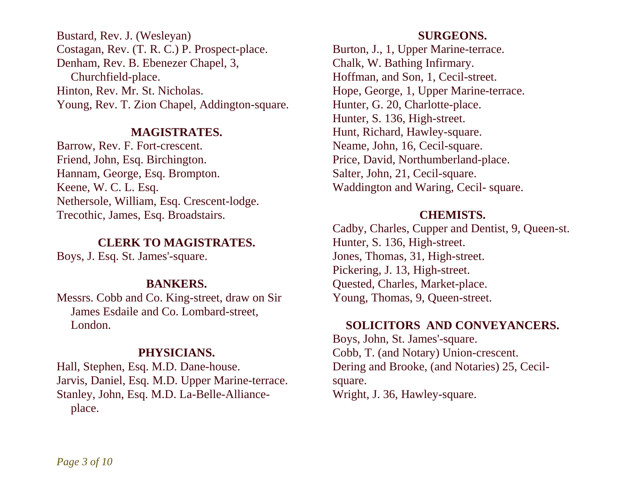Bustard, Rev. J. (Wesleyan) Costagan, Rev. (T. R. C.) P. Prospect-place. Denham, Rev. B. Ebenezer Chapel, 3, Churchfield-place. Hinton, Rev. Mr. St. Nicholas. Young, Rev. T. Zion Chapel, Addington-square.

#### **MAGISTRATES.**

Barrow, Rev. F. Fort-crescent. Friend, John, Esq. Birchington. Hannam, George, Esq. Brompton. Keene, W. C. L. Esq. Nethersole, William, Esq. Crescent-lodge. Trecothic, James, Esq. Broadstairs.

## **CLERK TO MAGISTRATES.**

Boys, J. Esq. St. James'-square.

# **BANKERS.**

Messrs. Cobb and Co. King-street, draw on Sir James Esdaile and Co. Lombard-street, London.

# **PHYSICIANS.**

Hall, Stephen, Esq. M.D. Dane-house. Jarvis, Daniel, Esq. M.D. Upper Marine-terrace. Stanley, John, Esq. M.D. La-Belle-Alliance place.

## **SURGEONS.**

Burton, J., 1, Upper Marine-terrace. Chalk, W. Bathing Infirmary. Hoffman, and Son, 1, Cecil-street. Hope, George, 1, Upper Marine-terrace. Hunter, G. 20, Charlotte-place. Hunter, S. 136, High-street. Hunt, Richard, Hawley-square. Neame, John, 16, Cecil-square. Price, David, Northumberland-place. Salter, John, 21, Cecil-square. Waddington and Waring, Cecil- square.

## **CHEMISTS.**

Cadby, Charles, Cupper and Dentist, 9, Queen-st. Hunter, S. 136, High-street. Jones, Thomas, 31, High-street. Pickering, J. 13, High-street. Quested, Charles, Market-place. Young, Thomas, 9, Queen-street.

# **SOLICITORS AND CONVEYANCERS.**

Boys, John, St. James'-square. Cobb, T. (and Notary) Union-crescent. Dering and Brooke, (and Notaries) 25, Cecilsquare. Wright, J. 36, Hawley-square.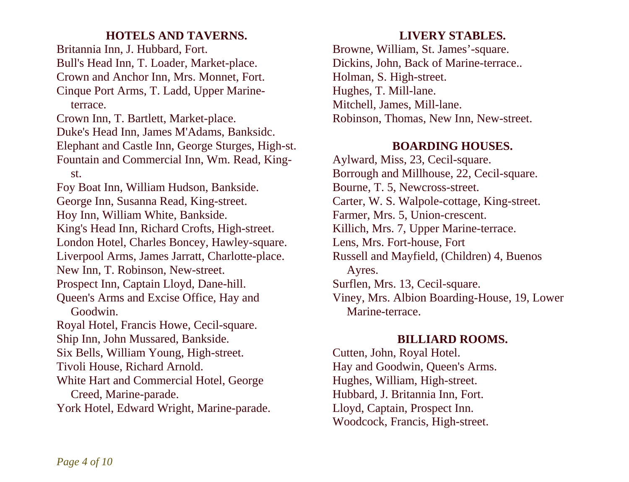# **HOTELS AND TAVERNS.**

Britannia Inn, J. Hubbard, Fort. Bull's Head Inn, T. Loader, Market-place. Crown and Anchor Inn, Mrs. Monnet, Fort. Cinque Port Arms, T. Ladd, Upper Marine terrace. Crown Inn, T. Bartlett, Market-place. Duke's Head Inn, James M'Adams, Banksidc. Elephant and Castle Inn, George Sturges, High-st. Fountain and Commercial Inn, Wm. Read, King st. Foy Boat Inn, William Hudson, Bankside. George Inn, Susanna Read, King-street. Hoy Inn, William White, Bankside. King's Head Inn, Richard Crofts, High-street. London Hotel, Charles Boncey, Hawley-square. Liverpool Arms, James Jarratt, Charlotte-place. New Inn, T. Robinson, New-street. Prospect Inn, Captain Lloyd, Dane-hill. Queen's Arms and Excise Office, Hay and Goodwin. Royal Hotel, Francis Howe, Cecil-square. Ship Inn, John Mussared, Bankside. Six Bells, William Young, High-street. Tivoli House, Richard Arnold. White Hart and Commercial Hotel, George Creed, Marine-parade. York Hotel, Edward Wright, Marine-parade.

# **LIVERY STABLES.**

Browne, William, St. James'-square. Dickins, John, Back of Marine-terrace.. Holman, S. High-street. Hughes, T. Mill-lane. Mitchell, James, Mill-lane. Robinson, Thomas, New Inn, New-street.

# **BOARDING HOUSES.**

Aylward, Miss, 23, Cecil-square. Borrough and Millhouse, 22, Cecil-square. Bourne, T. 5, Newcross-street. Carter, W. S. Walpole-cottage, King-street. Farmer, Mrs. 5, Union-crescent. Killich, Mrs. 7, Upper Marine-terrace. Lens, Mrs. Fort-house, Fort Russell and Mayfield, (Children) 4, Buenos Ayres. Surflen, Mrs. 13, Cecil-square. Viney, Mrs. Albion Boarding-House, 19, Lower Marine-terrace.

# **BILLIARD ROOMS.**

Cutten, John, Royal Hotel. Hay and Goodwin, Queen's Arms. Hughes, William, High-street. Hubbard, J. Britannia Inn, Fort. Lloyd, Captain, Prospect Inn. Woodcock, Francis, High-street.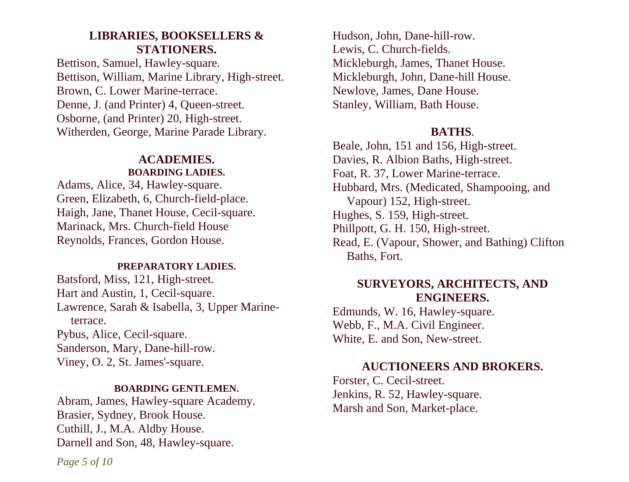# **LIBRARIES, BOOKSELLERS & STATIONERS.**

Bettison, Samuel, Hawley-square. Bettison, William, Marine Library, High-street. Brown, C. Lower Marine-terrace. Denne, J. (and Printer) 4, Queen-street. Osborne, (and Printer) 20, High-street. Witherden, George, Marine Parade Library.

# **ACADEMIES. BOARDING LADIES.**

Adams, Alice, 34, Hawley-square. Green, Elizabeth, 6, Church-field-place. Haigh, Jane, Thanet House, Cecil-square. Marinack, Mrs. Church-field House Reynolds, Frances, Gordon House.

#### **PREPARATORY LADIES.**

Batsford, Miss, 121, High-street. Hart and Austin, 1, Cecil-square. Lawrence, Sarah & Isabella, 3, Upper Marine terrace. Pybus, Alice, Cecil-square. Sanderson, Mary, Dane-hill-row. Viney, O. 2, St. James'-square.

#### **BOARDING GENTLEMEN.**

Abram, James, Hawley-square Academy. Brasier, Sydney, Brook House. Cuthill, J., M.A. Aldby House. Darnell and Son, 48, Hawley-square.

Hudson, John, Dane-hill-row. Lewis, C. Church-fields. Mickleburgh, James, Thanet House. Mickleburgh, John, Dane-hill House. Newlove, James, Dane House. Stanley, William, Bath House.

## **BATHS**.

Beale, John, 151 and 156, High-street. Davies, R. Albion Baths, High-street. Foat, R. 37, Lower Marine-terrace. Hubbard, Mrs. (Medicated, Shampooing, and Vapour) 152, High-street. Hughes, S. 159, High-street. Phillpott, G. H. 150, High-street. Read, E. (Vapour, Shower, and Bathing) Clifton Baths, Fort.

# **SURVEYORS, ARCHITECTS, AND ENGINEERS.**

Edmunds, W. 16, Hawley-square. Webb, F., M.A. Civil Engineer. White, E. and Son, New-street.

# **AUCTIONEERS AND BROKERS.**

Forster, C. Cecil-street. Jenkins, R. 52, Hawley-square. Marsh and Son, Market-place.

*Page 5 of 10*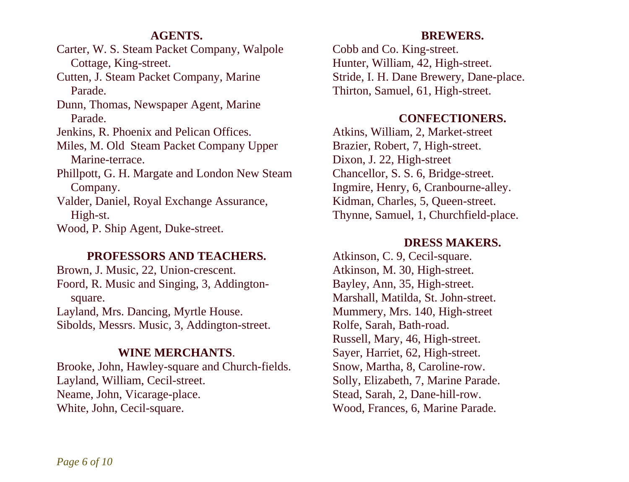# **AGENTS.**

Carter, W. S. Steam Packet Company, Walpole Cottage, King-street.

Cutten, J. Steam Packet Company, Marine Parade.

Dunn, Thomas, Newspaper Agent, Marine Parade.

Jenkins, R. Phoenix and Pelican Offices.

Miles, M. Old Steam Packet Company Upper Marine-terrace.

Phillpott, G. H. Margate and London New Steam Company.

Valder, Daniel, Royal Exchange Assurance, High-st.

Wood, P. Ship Agent, Duke-street.

## **PROFESSORS AND TEACHERS.**

Brown, J. Music, 22, Union-crescent. Foord, R. Music and Singing, 3, Addington square. Layland, Mrs. Dancing, Myrtle House. Sibolds, Messrs. Music, 3, Addington-street.

## **WINE MERCHANTS**.

Brooke, John, Hawley-square and Church-fields. Layland, William, Cecil-street. Neame, John, Vicarage-place. White, John, Cecil-square.

## **BREWERS.**

Cobb and Co. King-street. Hunter, William, 42, High-street. Stride, I. H. Dane Brewery, Dane-place. Thirton, Samuel, 61, High-street.

## **CONFECTIONERS.**

Atkins, William, 2, Market-street Brazier, Robert, 7, High-street. Dixon, J. 22, High-street Chancellor, S. S. 6, Bridge-street. Ingmire, Henry, 6, Cranbourne-alley. Kidman, Charles, 5, Queen-street. Thynne, Samuel, 1, Churchfield-place.

## **DRESS MAKERS.**

Atkinson, C. 9, Cecil-square. Atkinson, M. 30, High-street. Bayley, Ann, 35, High-street. Marshall, Matilda, St. John-street. Mummery, Mrs. 140, High-street Rolfe, Sarah, Bath-road. Russell, Mary, 46, High-street. Sayer, Harriet, 62, High-street. Snow, Martha, 8, Caroline-row. Solly, Elizabeth, 7, Marine Parade. Stead, Sarah, 2, Dane-hill-row. Wood, Frances, 6, Marine Parade.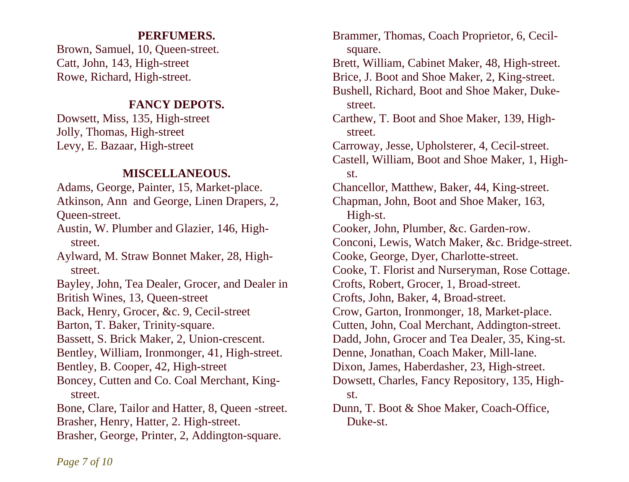# **PERFUMERS.**

Brown, Samuel, 10, Queen-street. Catt, John, 143, High-street Rowe, Richard, High-street.

# **FANCY DEPOTS.**

Dowsett, Miss, 135, High-street Jolly, Thomas, High-street Levy, E. Bazaar, High-street

## **MISCELLANEOUS.**

Adams, George, Painter, 15, Market-place. Atkinson, Ann and George, Linen Drapers, 2, Queen-street. Austin, W. Plumber and Glazier, 146, High street. Aylward, M. Straw Bonnet Maker, 28, High street. Bayley, John, Tea Dealer, Grocer, and Dealer in British Wines, 13, Queen-street Back, Henry, Grocer, &c. 9, Cecil-street Barton, T. Baker, Trinity-square. Bassett, S. Brick Maker, 2, Union-crescent. Bentley, William, Ironmonger, 41, High-street. Bentley, B. Cooper, 42, High-street Boncey, Cutten and Co. Coal Merchant, King street. Bone, Clare, Tailor and Hatter, 8, Queen -street. Brasher, Henry, Hatter, 2. High-street. Brasher, George, Printer, 2, Addington-square.

Brammer, Thomas, Coach Proprietor, 6, Cecil square. Brett, William, Cabinet Maker, 48, High-street. Brice, J. Boot and Shoe Maker, 2, King-street. Bushell, Richard, Boot and Shoe Maker, Duke street. Carthew, T. Boot and Shoe Maker, 139, High street. Carroway, Jesse, Upholsterer, 4, Cecil-street. Castell, William, Boot and Shoe Maker, 1, High st. Chancellor, Matthew, Baker, 44, King-street. Chapman, John, Boot and Shoe Maker, 163, High-st. Cooker, John, Plumber, &c. Garden-row. Conconi, Lewis, Watch Maker, &c. Bridge-street. Cooke, George, Dyer, Charlotte-street. Cooke, T. Florist and Nurseryman, Rose Cottage. Crofts, Robert, Grocer, 1, Broad-street. Crofts, John, Baker, 4, Broad-street. Crow, Garton, Ironmonger, 18, Market-place. Cutten, John, Coal Merchant, Addington-street. Dadd, John, Grocer and Tea Dealer, 35, King-st. Denne, Jonathan, Coach Maker, Mill-lane. Dixon, James, Haberdasher, 23, High-street. Dowsett, Charles, Fancy Repository, 135, High st. Dunn, T. Boot & Shoe Maker, Coach-Office, Duke-st.

*Page 7 of 10*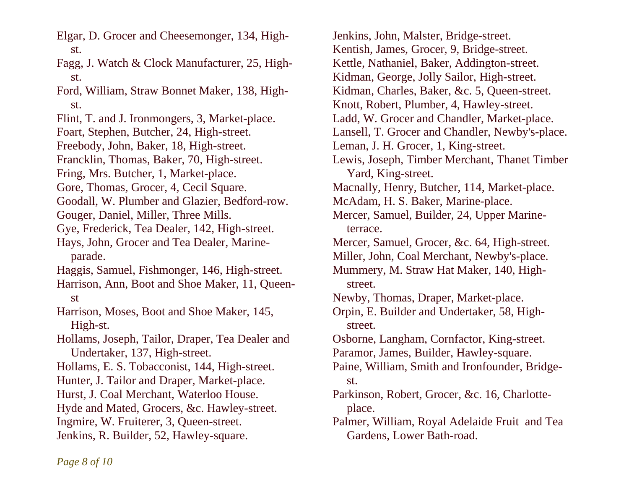Elgar, D. Grocer and Cheesemonger, 134, High st.

Fagg, J. Watch & Clock Manufacturer, 25, High st.

Ford, William, Straw Bonnet Maker, 138, High st.

Flint, T. and J. Ironmongers, 3, Market-place.

Foart, Stephen, Butcher, 24, High-street.

Freebody, John, Baker, 18, High-street.

Francklin, Thomas, Baker, 70, High-street.

Fring, Mrs. Butcher, 1, Market-place.

Gore, Thomas, Grocer, 4, Cecil Square.

Goodall, W. Plumber and Glazier, Bedford-row.

Gouger, Daniel, Miller, Three Mills.

Gye, Frederick, Tea Dealer, 142, High-street.

Hays, John, Grocer and Tea Dealer, Marine parade.

Haggis, Samuel, Fishmonger, 146, High-street.

Harrison, Ann, Boot and Shoe Maker, 11, Queen st

Harrison, Moses, Boot and Shoe Maker, 145, High-st.

Hollams, Joseph, Tailor, Draper, Tea Dealer and Undertaker, 137, High-street.

Hollams, E. S. Tobacconist, 144, High-street.

Hunter, J. Tailor and Draper, Market-place.

Hurst, J. Coal Merchant, Waterloo House.

Hyde and Mated, Grocers, &c. Hawley-street.

Ingmire, W. Fruiterer, 3, Queen-street.

Jenkins, R. Builder, 52, Hawley-square.

Jenkins, John, Malster, Bridge-street. Kentish, James, Grocer, 9, Bridge-street. Kettle, Nathaniel, Baker, Addington-street. Kidman, George, Jolly Sailor, High-street. Kidman, Charles, Baker, &c. 5, Queen-street. Knott, Robert, Plumber, 4, Hawley-street. Ladd, W. Grocer and Chandler, Market-place. Lansell, T. Grocer and Chandler, Newby's-place. Leman, J. H. Grocer, 1, King-street. Lewis, Joseph, Timber Merchant, Thanet Timber Yard, King-street. Macnally, Henry, Butcher, 114, Market-place. McAdam, H. S. Baker, Marine-place. Mercer, Samuel, Builder, 24, Upper Marine terrace. Mercer, Samuel, Grocer, &c. 64, High-street. Miller, John, Coal Merchant, Newby's-place. Mummery, M. Straw Hat Maker, 140, High street. Newby, Thomas, Draper, Market-place. Orpin, E. Builder and Undertaker, 58, High street. Osborne, Langham, Cornfactor, King-street. Paramor, James, Builder, Hawley-square. Paine, William, Smith and Ironfounder, Bridge st. Parkinson, Robert, Grocer, &c. 16, Charlotte place. Palmer, William, Royal Adelaide Fruit and Tea Gardens, Lower Bath-road.

*Page 8 of 10*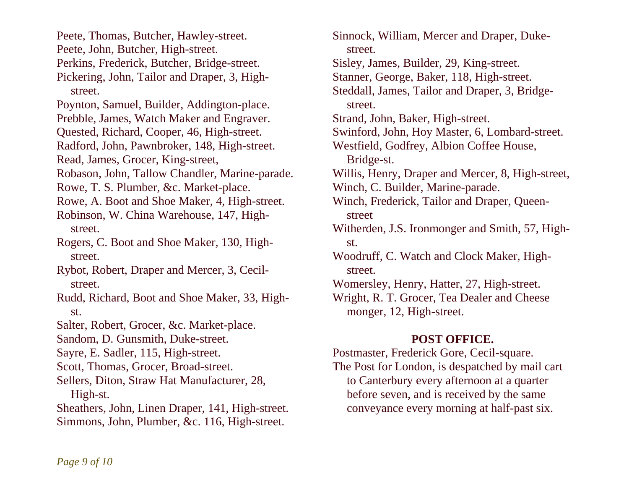Peete, Thomas, Butcher, Hawley-street. Peete, John, Butcher, High-street. Perkins, Frederick, Butcher, Bridge-street. Pickering, John, Tailor and Draper, 3, High street. Poynton, Samuel, Builder, Addington-place. Prebble, James, Watch Maker and Engraver. Quested, Richard, Cooper, 46, High-street. Radford, John, Pawnbroker, 148, High-street. Read, James, Grocer, King-street, Robason, John, Tallow Chandler, Marine-parade. Rowe, T. S. Plumber, &c. Market-place. Rowe, A. Boot and Shoe Maker, 4, High-street. Robinson, W. China Warehouse, 147, High street. Rogers, C. Boot and Shoe Maker, 130, High street. Rybot, Robert, Draper and Mercer, 3, Cecil street. Rudd, Richard, Boot and Shoe Maker, 33, High st. Salter, Robert, Grocer, &c. Market-place. Sandom, D. Gunsmith, Duke-street. Sayre, E. Sadler, 115, High-street. Scott, Thomas, Grocer, Broad-street. Sellers, Diton, Straw Hat Manufacturer, 28, High-st. Sheathers, John, Linen Draper, 141, High-street. Simmons, John, Plumber, &c. 116, High-street.

Sinnock, William, Mercer and Draper, Duke street. Sisley, James, Builder, 29, King-street. Stanner, George, Baker, 118, High-street. Steddall, James, Tailor and Draper, 3, Bridge street. Strand, John, Baker, High-street. Swinford, John, Hoy Master, 6, Lombard-street. Westfield, Godfrey, Albion Coffee House, Bridge-st. Willis, Henry, Draper and Mercer, 8, High-street, Winch, C. Builder, Marine-parade. Winch, Frederick, Tailor and Draper, Queen street Witherden, J.S. Ironmonger and Smith, 57, High st. Woodruff, C. Watch and Clock Maker, High street. Womersley, Henry, Hatter, 27, High-street. Wright, R. T. Grocer, Tea Dealer and Cheese monger, 12, High-street.

# **POST OFFICE.**

Postmaster, Frederick Gore, Cecil-square. The Post for London, is despatched by mail cart to Canterbury every afternoon at a quarter before seven, and is received by the same conveyance every morning at half-past six.